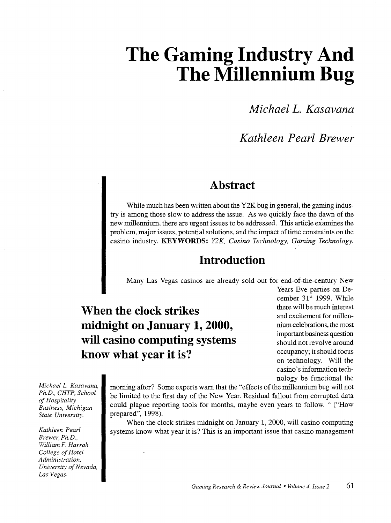# **The Gaming Industry And The Millennium Bug**

*Michael L. Kasavana* 

# *Kathleen Pearl Brewer*

## **Abstract**

While much has been written about the Y2K bug in general, the gaming industry is among those slow to address the issue. As we quickly face the dawn of the new millennium, there are urgent issues to be addressed. This article examines the problem, major issues, potential solutions, and the impact of time constraints on the casino industry. KEYWORDS: *Y2K, Casino Technology, Gaming Technology.* 

## **Introduction**

Many Las Vegas casinos are already sold out for end-of-the-century New

**When the clock strikes midnight on January 1, 2000, will casino computing systems know what year it is?** 

Years Eve parties on December 31st 1999. While there will be much interest and excitement for millennium celebrations, the most important business question should not revolve around occupancy; it should focus on technology. Will the casino's information technology be functional the

*Michael L Kasavana, Ph.D., CHTP, School of Hospitality Business, Michigan State University.* 

*Kathleen Pearl Brewer, Ph.D., William* F. *Harrah College of Hotel Administration, University of Nevada, Las Vegas.* 

morning after? Some experts warn that the "effects of the millennium bug will not be limited to the first day of the New Year. Residual fallout from corrupted data could plague reporting tools for months, maybe even years to follow. " ("How prepared", 1998).

When the clock strikes midnight on January 1, 2000, will casino computing systems know what year it is? This is an important issue that casino management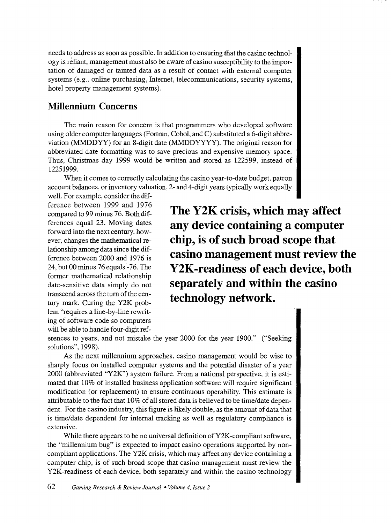needs to address as soon as possible. In addition to ensuring that the casino technology is reliant, management must also be aware of casino susceptibility to the importation of damaged or tainted data as a result of contact with external computer systems (e.g., online purchasing, Internet, telecommunications, security systems, hotel property management systems).

#### **Millennium Concerns**

The main reason for concern is that programmers who developed software using older computer languages (Fortran, Cobol, and C) substituted a 6-digit abbreviation (MMDDYY) for an 8-digit date (MMDDYYYY). The original reason for abbreviated date formatting was to save precious and expensive memory space. Thus, Christmas day 1999 would be written and stored as 122599, instead of 12251999.

When it comes to correctly calculating the casino year-to-date budget, patron account balances, or inventory valuation, 2- and 4-digit years typically work equally

well. For example, consider the difference between 1999 and 1976 compared to 99 minus 76. Both differences equal 23. Moving dates forward into the next century, however, changes the mathematical relationship among data since the difference between 2000 and 1976 is 24, but 00 minus 76 equals -76. The former mathematical relationship date-sensitive data simply do not transcend across the turn of the century mark. Curing the Y2K problem "requires a line-by-line rewriting of software code so computers will be able to handle four-digit ref-

**The Y2K crisis, which may affect any device containing a computer chip, is of such broad scope that casino management must review the Y2K-readiness of each device, both separately and within the casino technology network.** 

erences to years, and not mistake the year 2000 for the year 1900." ("Seeking solutions", 1998).

As the next millennium approaches, casino management would be wise to sharply focus on installed computer systems and the potential disaster of a year 2000 (abbreviated "Y2K") system failure. From a national perspective, it is estimated that 10% of installed business application software will require significant modification (or replacement) to ensure continuous operability. This estimate is attributable to the fact that 10% of all stored data is believed to be time/date dependent. For the casino industry, this figure is likely double, as the amount of data that is time/date dependent for internal tracking as well as regulatory compliance is extensive.

While there appears to be no universal definition of  $Y2K$ -compliant software, the "millennium bug" is expected to impact casino operations supported by noncompliant applications. The Y2K crisis, which may affect any device containing a computer chip, is of such broad scope that casino management must review the Y2K-readiness of each device, both separately and within the casino technology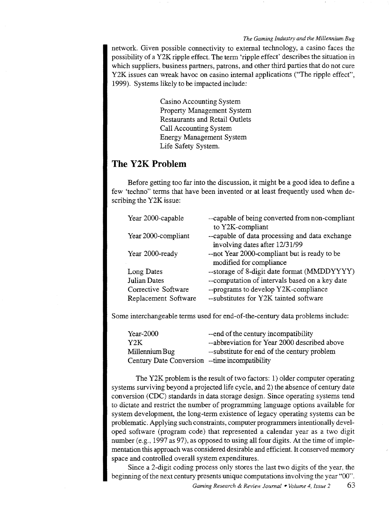*The Gaming Industry and the Millennium Bug* 

network. Given possible connectivity to external technology, a casino faces the possibility of a Y2K ripple effect. The term 'ripple effect' describes the situation in which suppliers, business partners, patrons, and other third parties that do not cure Y2K issues can wreak havoc on casino internal applications ("The ripple effect", 1999). Systems likely to be impacted include:

> Casino Accounting System Property Management System Restaurants and Retail Outlets Call Accounting System Energy Management System Life Safety System.

## **The Y2K Problem**

Before getting too far into the discussion, it might be a good idea to define a few 'techno" terms that have been invented or at least frequently used when describing the Y2K issue:

| Year 2000-capable    | --capable of being converted from non-compliant<br>to Y2K-compliant            |
|----------------------|--------------------------------------------------------------------------------|
| Year 2000-compliant  | --capable of data processing and data exchange                                 |
| Year 2000-ready      | involving dates after 12/31/99<br>--not Year 2000-compliant but is ready to be |
|                      | modified for compliance                                                        |
| Long Dates           | --storage of 8-digit date format (MMDDYYYY)                                    |
| <b>Julian Dates</b>  | --computation of intervals based on a key date                                 |
| Corrective Software  | --programs to develop Y2K-compliance                                           |
| Replacement Software | --substitutes for Y2K tainted software                                         |

Some interchangeable terms used for end-of-the-century data problems include:

| $Year-2000$                                     | -- end of the century incompatibility        |
|-------------------------------------------------|----------------------------------------------|
| Y2K                                             | --abbreviation for Year 2000 described above |
| Millennium Bug                                  | --substitute for end of the century problem  |
| Century Date Conversion -- time incompatibility |                                              |

The Y2K problem is the result of two factors: 1) older computer operating systems surviving beyond a projected life cycle, and 2) the absence of century date conversion (CDC) standards in data storage design. Since operating systems tend to dictate and restrict the number of programming language options available for system development, the long-term existence of legacy operating systems can be problematic. Applying such constraints, computer programmers intentionally developed software (program code) that represented a calendar year as a two digit number (e.g., 1997 as 97), as opposed to using all four digits. At the time of implementation this approach was considered desirable and efficient. It conserved memory space and controlled overall system expenditures.

Since a 2-digit coding process only stores the last two digits of the year, the beginning of the next century presents unique computations involving the year "00".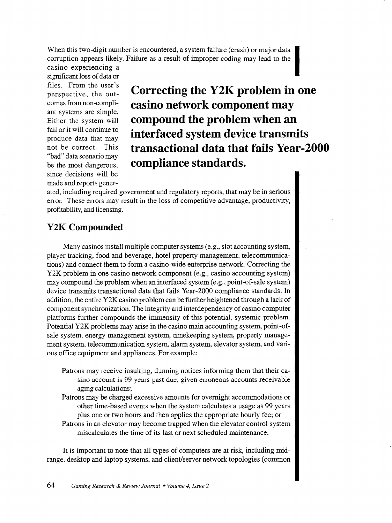When this two-digit number is encountered, a system failure (crash) or major data corruption appears likely. Failure as a result of improper coding may lead to the

casino experiencing a significant loss of data or files. From the user's perspective, the outcomes from non-compliant systems are simple. Either the system will fail or it will continue to produce data that may not be correct. This "bad" data scenario may be the most dangerous, since decisions will be made and reports gener-

**Correcting the Y2K problem in one casino network component may compound the problem when an interfaced system device transmits transactional data that fails Year-2000 compliance standards.** 

ated, including required government and regulatory reports, that may be in serious error. These errors may result in the loss of competitive advantage, productivity, profitability, and licensing.

## **Y2K Compounded**

Many casinos install multiple computer systems (e.g., slot accounting system, player tracking, food and beverage, hotel property management, telecommunications) and connect them to form a casino-wide enterprise network. Correcting the Y2K problem in one casino network component (e.g., casino accounting system) may compound the problem when an interfaced system (e.g., point-of-sale system) device transmits transactional data that fails Year-2000 compliance standards. In addition, the entire Y2K casino problem can be further heightened through a lack of component synchronization. The integrity and interdependency of casino computer platforms further compounds the immensity of this potential, systemic problem. Potential Y2K problems may arise in the casino main accounting system, point-ofsale system, energy management system, timekeeping system, property management system, telecommunication system, alarm system, elevator system, and various office equipment and appliances. For example:

- Patrons may receive insulting, dunning notices informing them that their casino account is 99 years past due, given erroneous accounts receivable aging calculations;
- Patrons may be charged excessive amounts for overnight accommodations or other time-based events when the system calculates a usage as 99 years plus one or two hours and then applies the appropriate hourly fee; or
- Patrons in an elevator may become trapped when the elevator control system miscalculates the time of its last or next scheduled maintenance.

It is important to note that all types of computers are at risk, including midrange, desktop and laptop systems, and client/server network topologies (common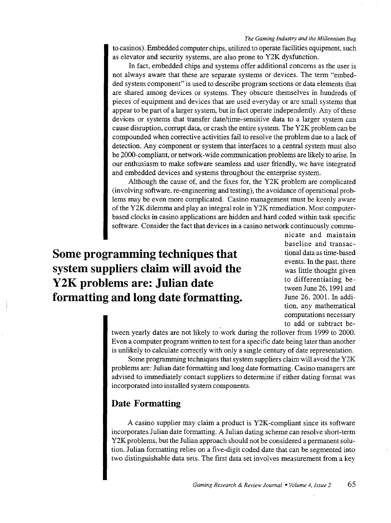#### *The Gaming Industry and the Millennium Bug*

to casinos). Embedded computer chips, utilized to operate facilities equipment, such as elevator and security systems, are also prone to Y2K dysfunction.

In fact, embedded chips and systems offer additional concerns as the user is not always aware that these are separate systems or devices. The term "embedded system component" is used to describe program sections or data elements that are shared among devices or systems. They obscure themselves in hundreds of pieces of equipment and devices that are used everyday or are small systems that appear to be part of a larger system, but in fact operate independently. Any of these devices or systems that transfer date/time-sensitive data to a larger system can cause disruption, corrupt data, or crash the entire system. The Y2K problem can be compounded when corrective activities fail to resolve the problem due to a lack of detection. Any component or system that interfaces to a central system must also be 2000-compliant, or network -wide communication problems are likely to arise. In our enthusiasm to make software seamless and user friendly, we have integrated and embedded devices and systems throughout the enterprise system.

Although the cause of, and the fixes for, the Y2K problem are complicated (involving software, re-engineering and testing), the avoidance of operational problems may be even more complicated. Casino management must be keenly aware of the Y2K dilemma and play an integral role in Y2K remediation. Most computerbased clocks in casino applications are hidden and hard coded within task specific software. Consider the fact that devices in a casino network continuously commu-

**Some programming techniques that system suppliers claim will avoid the Y2K problems are: Julian date formatting and long date formatting.**  nicate and maintain baseline and transactional data as time-based events. In the past, there was little thought given to differentiating between June 26, 1991 and June 26, 2001. In addition, any mathematical computations necessary to add or subtract be-

tween yearly dates are not likely to work during the rollover from 1999 to 2000. Even a computer program written to test for a specific date being later than another is unlikely to calculate correctly with only a single century of date representation.

Some programming techniques that system suppliers claim will avoid the Y2K problems are: Julian date formatting and long date formatting. Casino managers are advised to immediately contact suppliers to determine if either dating format was incorporated into installed system components.

#### **Date Formatting**

A casino supplier may claim a product is Y2K -compliant since its software incorporates Julian date formatting. A Julian dating scheme can resolve short-term Y2K problems, but the Julian approach should not be considered a permanent solution. Julian formatting relies on a five-digit coded date that can be segmented into two distinguishable data sets. The first data set involves measurement from a key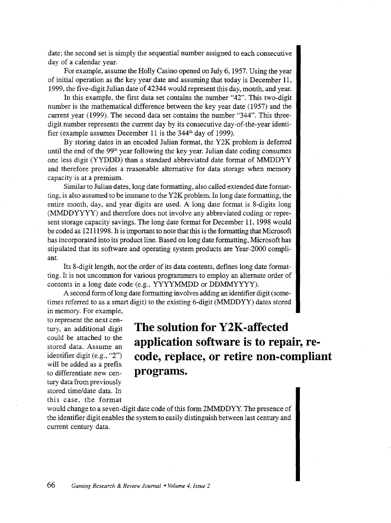date; the second set is simply the sequential number assigned to each consecutive day of a calendar year.

For example, assume the Holly Casino opened on July 6, 1957. Using the year of initial operation as the key year date and assuming that today is December 11, 1999, the five-digit Julian date of 42344 would represent this day, month, and year.

In this example, the first data set contains the number "42". This two-digit number is the mathematical difference between the key year date ( 1957) and the current year (1999). The second data set contains the number "344". This threedigit number represents the current day by its consecutive day-of-the-year identifier (example assumes December 11 is the  $344<sup>th</sup>$  day of 1999).

By storing dates in an encoded Julian format, the Y2K problem is deferred until the end of the  $99<sup>th</sup>$  year following the key year. Julian date coding consumes one less digit (YYDDD) than a standard abbreviated date format of MMDDYY and therefore provides a reasonable alternative for data storage when memory capacity is at a premium.

Similar to Julian dates, long date formatting, also called extended date formatting, is also assumed to be immune to the Y2K problem. In long date formatting, the entire month, day, and year digits are used. A long date format is 8-digits long (MMDDYYYY) and therefore does not involve any abbreviated coding or represent storage capacity savings. The long date format for December 11, 1998 would be coded as 12111998. It is important to note that this is the formatting that Microsoft has incorporated into its product line. Based on long date formatting, Microsoft has stipulated that its software and operating system products are Year-2000 compliant.

Its 8-digit length, not the order of its data contents, defines long date formatting. It is not uncommon for various programmers to employ an alternate order of contents in a long date code (e.g., YYYYMMDD or DDMMYYYY).

A second form of long date formatting involves adding an identifier digit (sometimes referred to as a smart digit) to the existing 6-digit (MMDDYY) dates stored in memory. For example,

to represent the next century, an additional digit could be attached to the stored data. Assume an identifier digit (e.g., "2") will be added as a prefix to differentiate new century data from previously stored time/date data. In this case, the format

**The solution for Y2K-affected application software is to repair, recode, replace, or retire non-compliant programs.** 

would change to a seven-digit date code of this form 2MMDDYY. The presence of the identifier digit enables the system to easily distinguish between last century and current century data.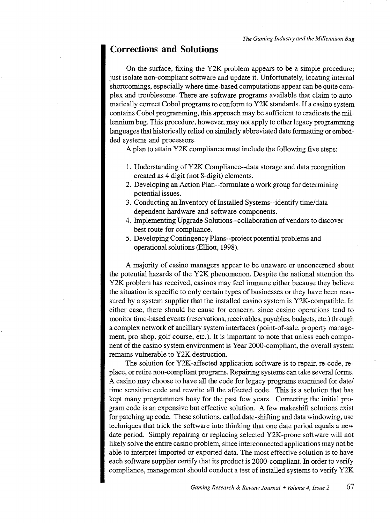#### **Corrections and Solutions**

On the surface, fixing the Y2K problem appears to be a simple procedure; just isolate non-compliant software and update it. Unfortunately, locating internal shortcomings, especially where time-based computations appear can be quite complex and troublesome. There are software programs available that claim to automatically correct Cobol programs to conform to Y2K standards. If a casino system contains Cobol programming, this approach may be sufficient to eradicate the millennium bug. This procedure, however, may not apply to other legacy programming languages that historically relied on similarly abbreviated date formatting or embedded systems and processors.

A plan to attain Y2K compliance must include the following five steps:

- 1. Understanding of Y2K Compliance--data storage and data recognition created as 4 digit (not 8-digit) elements.
- 2. Developing an Action Plan--formulate a work group for determining potential issues.
- 3. Conducting an Inventory of Installed Systems--identify time/data dependent hardware and software components.
- 4. Implementing Upgrade Solutions--collaboration of vendors to discover best route for compliance.
- 5. Developing Contingency Plans--project potential problems and operational solutions (Elliott, 1998).

A majority of casino managers appear to be unaware or unconcerned about the potential hazards of the Y2K phenomenon. Despite the national attention the Y2K problem has received, casinos may feel immune either because they believe the situation is specific to only certain types of businesses or they have been reassured by a system supplier that the installed casino system is Y2K-compatible. In either case, there should be cause for concern, since casino operations tend to monitor time-based events (reservations, receivables, payables, budgets, etc.) through a complex network of ancillary system interfaces (point-of-sale, property management, pro shop, golf course, etc.). It is important to note that unless each component of the casino system environment is Year 2000-compliant, the overall system remains vulnerable to Y2K destruction.

The solution for Y2K -affected application software is to repair, re-code, replace, or retire non-compliant programs. Repairing systems can take several forms. A casino may choose to have all the code for legacy programs examined for date/ time sensitive code and rewrite all the affected code. This is a solution that has kept many programmers busy for the past few years. Correcting the initial program code is an expensive but effective solution. A few makeshift solutions exist for patching up code. These solutions, called date-shifting and data windowing, use techniques that trick the software into thinking that one date period equals a new date period. Simply repairing or replacing selected Y2K-prone software will not likely solve the entire casino problem, since interconnected applications may not be able to interpret imported or exported data. The most effective solution is to have each software supplier certify that its product is 2000-compliant. In order to verify compliance, management should conduct a test of installed systems to verify Y2K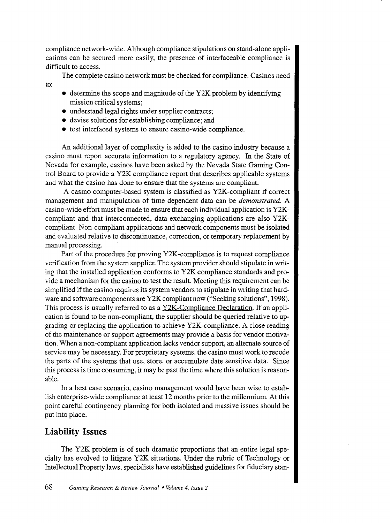compliance network-wide. Although compliance stipulations on stand-alone applications can be secured more easily, the presence of interfaceable compliance is difficult to access.

The complete casino network must be checked for compliance. Casinos need to:

- determine the scope and magnitude of the Y2K problem by identifying mission critical systems;
- understand legal rights under supplier contracts;
- devise solutions for establishing compliance; and
- test interfaced systems to ensure casino-wide compliance.

An additional layer of complexity is added to the casino industry because a casino must report accurate information to a regulatory agency. In the State of Nevada for example, casinos have been asked by the Nevada State Gaming Control Board to provide a Y2K compliance report that describes applicable systems and what the casino has done to ensure that the systems are compliant.

A casino computer-based system is classified as Y2K-compliant if correct management and manipulation of time dependent data can be *demonstrated.* A casino-wide effort must be made to ensure that each individual application is Y2Kcompliant and that interconnected, data exchanging applications are also Y2Kcompliant. Non-compliant applications and network components must be isolated and evaluated relative to discontinuance, correction, or temporary replacement by manual processing.

Part of the procedure for proving Y2K-compliance is to request compliance verification from the system supplier. The system provider should stipulate in writing that the installed application conforms to Y2K compliance standards and provide a mechanism for the casino to test the result. Meeting this requirement can be simplified if the casino requires its system vendors to stipulate in writing that hardware and software components are Y2K compliant now ("Seeking solutions", 1998). This process is usually referred to as a Y2K-Compliance Declaration. If an application is found to be non-compliant, the supplier should be queried relative to upgrading or replacing the application to achieve Y2K-compliance. A close reading of the maintenance or support agreements may provide a basis for vendor motivation. When a non-compliant application lacks vendor support, an alternate source of service may be necessary. For proprietary systems, the casino must work to recode the parts of the systems that use, store, or accumulate date sensitive data. Since this process is time consuming, it may be past the time where this solution is reasonable.

In a best case scenario, casino management would have been wise to establish enterprise-wide compliance at least 12 months prior to the millennium. At this point careful contingency planning for both isolated and massive issues should be put into place.

#### **Liability Issues**

The Y2K problem is of such dramatic proportions that an entire legal specialty has evolved to litigate Y2K situations. Under the rubric of Technology or Intellectual Property laws, specialists have established guidelines for fiduciary stan-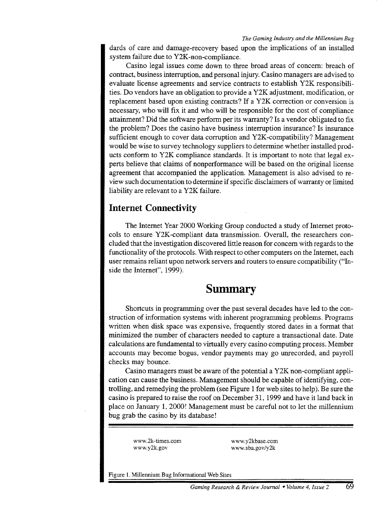#### *The Gaming Industry and the Millennium Bug*

dards of care and damage-recovery based upon the implications of an installed system failure due to Y2K-non-compliance.

Casino legal issues come down to three broad areas of concern: breach of contract, business interruption, and personal injury. Casino managers are advised to evaluate license agreements and service contracts to establish Y2K responsibilities. Do vendors have an obligation to provide a Y2K adjustment, modification, or replacement based upon existing contracts? If a Y2K correction or conversion is necessary, who will fix it and who will be responsible for the cost of compliance attainment? Did the software perform per its warranty? Is a vendor obligated to fix the problem? Does the casino have business interruption insurance? Is insurance sufficient enough to cover data corruption and Y2K -compatibility? Management would be wise to survey technology suppliers to determine whether installed products conform to Y2K compliance standards. It is important to note that legal experts believe that claims of nonperformance will be based on the original license agreement that accompanied the application. Management is also advised to review such documentation to determine if specific disclaimers of warranty or limited liability are relevant to a Y2K failure.

#### **Internet Connectivity**

The Internet Year 2000 Working Group conducted a study of Internet protocols to ensure Y2K-compliant data transmission. Overall, the researchers concluded that the investigation discovered little reason for concern with regards to the functionality of the protocols. With respect to other computers on the Internet, each user remains reliant upon network servers and routers to ensure compatibility ("Inside the Internet", 1999).

## **Summary**

Shortcuts in programming over the past several decades have led to the construction of information systems with inherent programming problems. Programs written when disk space was expensive, frequently stored dates in a format that minimized the number of characters needed to capture a transactional date. Date calculations are fundamental to virtually every casino computing process. Member accounts may become bogus, vendor payments may go umecorded, and payroll checks may bounce.

Casino managers must be aware of the potential a Y2K non-compliant application can cause the business. Management should be capable of identifying, controlling, and remedying the problem (see Figure 1 for web sites to help). Be sure the casino is prepared to raise the roof on December 31, 1999 and have it land back in place on January 1, 2000! Management must be careful not to let the millennium bug grab the casino by its database!

www.2k-times.com www.y2k.gov

www.y2kbase.com www.sba.gov/y2k

Figure 1. Millennium Bug Informational Web Sites